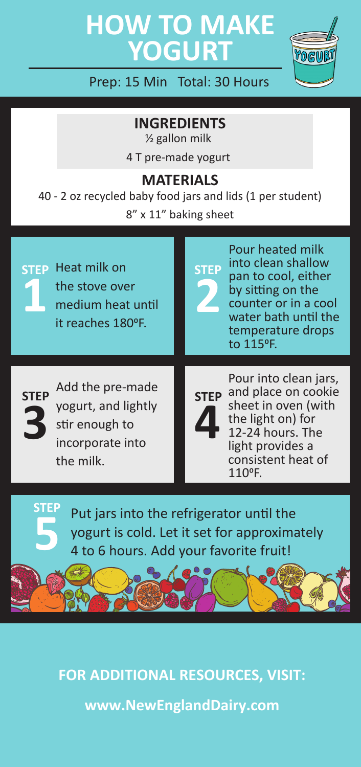# **HOW TO MAKE YOGURT**



Prep: 15 Min Total: 30 Hours

**INGREDIENTS**

 $\frac{1}{2}$  gallon milk 4 T pre-made yogurt

#### **MATERIALS**

40 - 2 oz recycled baby food jars and lids (1 per student) 8" x 11" baking sheet

Heat milk on **STEP STEP** the stove over medium heat until it reaches 180°F. **1**

Pour heated milk into clean shallow pan to cool, either by sitting on the counter or in a cool water bath until the temperature drops to 1150F. **2**



**STEP**

Add the pre-made **STEP STEP** yogurt, and lightly stir enough to incorporate into the milk.

**4**

Pour into clean jars, **STEP** and place on cookie sheet in oven (with the light on) for 12-24 hours. The light provides a consistent heat of 1100F.

Put jars into the refrigerator until the yogurt is cold. Let it set for approximately **5** 4 to 6 hours. Add your favorite fruit!

**FOR ADDITIONAL RESOURCES, VISIT: [www.NewEnglandDairy](www.newenglanddairy.com).com**